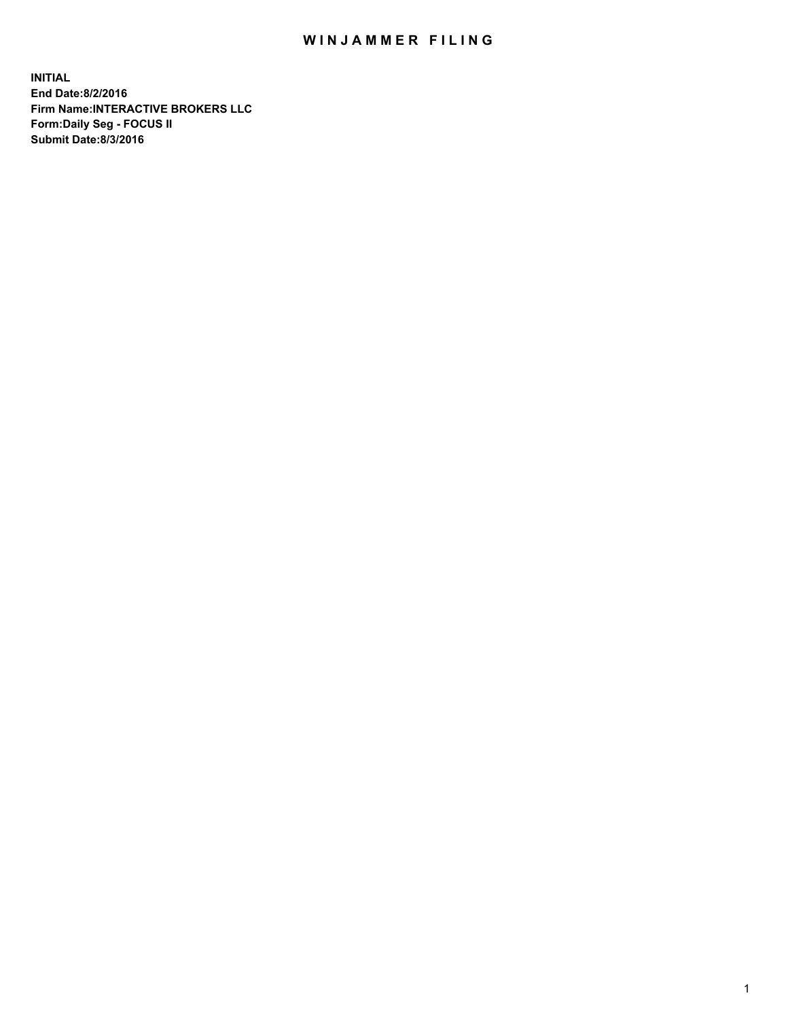## WIN JAMMER FILING

**INITIAL End Date:8/2/2016 Firm Name:INTERACTIVE BROKERS LLC Form:Daily Seg - FOCUS II Submit Date:8/3/2016**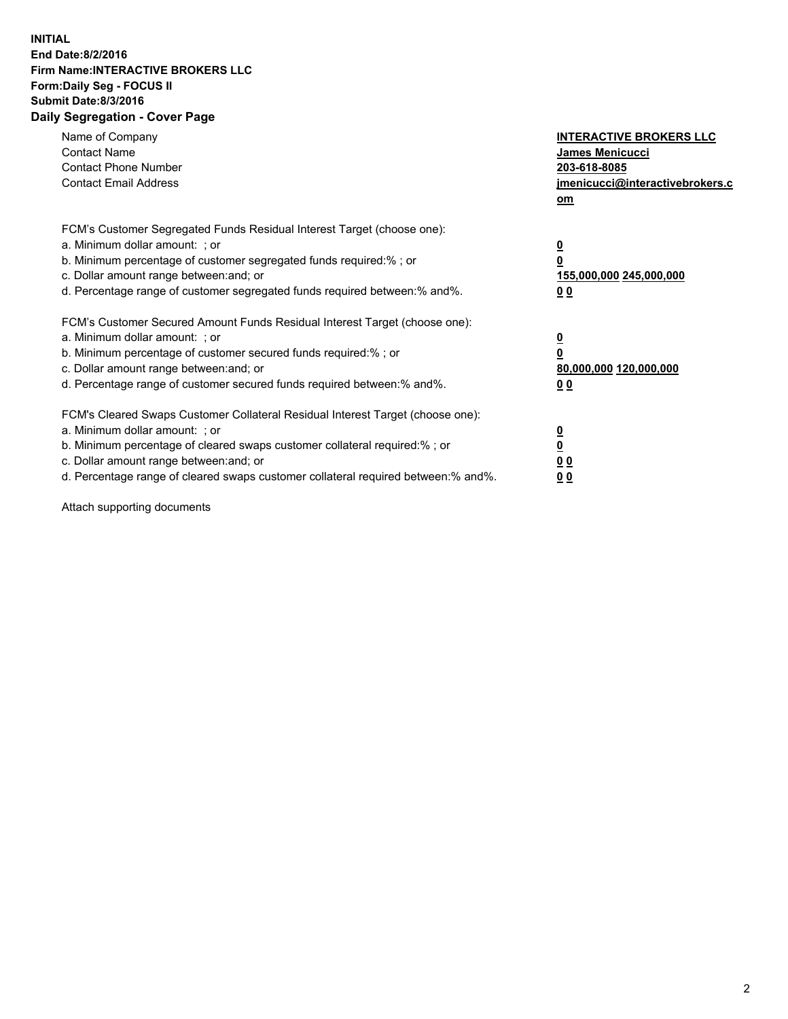## **INITIAL End Date:8/2/2016 Firm Name:INTERACTIVE BROKERS LLC Form:Daily Seg - FOCUS II Submit Date:8/3/2016 Daily Segregation - Cover Page**

| Name of Company<br><b>Contact Name</b><br><b>Contact Phone Number</b><br><b>Contact Email Address</b>                                                                                                                                                                                                                          | <b>INTERACTIVE BROKERS LLC</b><br>James Menicucci<br>203-618-8085<br>jmenicucci@interactivebrokers.c<br>om |
|--------------------------------------------------------------------------------------------------------------------------------------------------------------------------------------------------------------------------------------------------------------------------------------------------------------------------------|------------------------------------------------------------------------------------------------------------|
| FCM's Customer Segregated Funds Residual Interest Target (choose one):<br>a. Minimum dollar amount: ; or<br>b. Minimum percentage of customer segregated funds required:%; or<br>c. Dollar amount range between: and; or<br>d. Percentage range of customer segregated funds required between:% and%.                          | $\overline{\mathbf{0}}$<br>$\overline{\mathbf{0}}$<br>155,000,000 245,000,000<br>00                        |
| FCM's Customer Secured Amount Funds Residual Interest Target (choose one):<br>a. Minimum dollar amount: ; or<br>b. Minimum percentage of customer secured funds required:%; or<br>c. Dollar amount range between: and; or<br>d. Percentage range of customer secured funds required between: % and %.                          | $\overline{\mathbf{0}}$<br>$\mathbf 0$<br>80,000,000 120,000,000<br>00                                     |
| FCM's Cleared Swaps Customer Collateral Residual Interest Target (choose one):<br>a. Minimum dollar amount: ; or<br>b. Minimum percentage of cleared swaps customer collateral required:% ; or<br>c. Dollar amount range between: and; or<br>d. Percentage range of cleared swaps customer collateral required between:% and%. | $\overline{\mathbf{0}}$<br>$\underline{\mathbf{0}}$<br>0 <sub>0</sub><br>0 <sub>0</sub>                    |

Attach supporting documents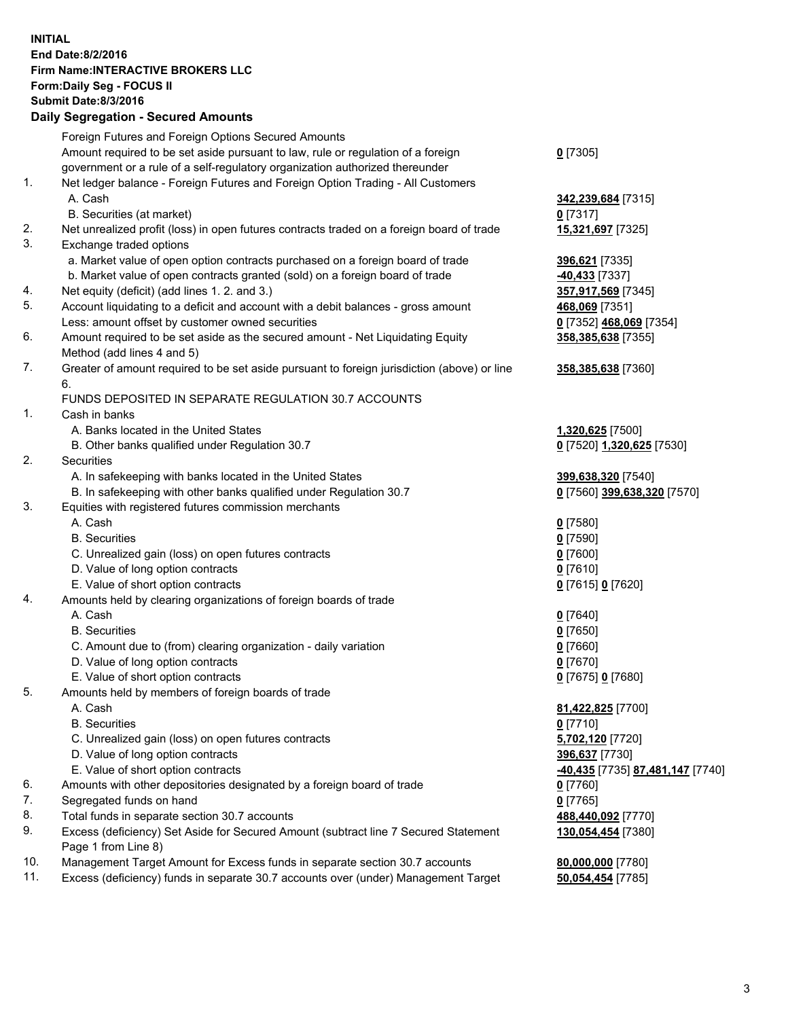## **INITIAL End Date:8/2/2016 Firm Name:INTERACTIVE BROKERS LLC Form:Daily Seg - FOCUS II Submit Date:8/3/2016 Daily Segregation - Secured Amounts**

|     | Foreign Futures and Foreign Options Secured Amounts                                         |                                  |
|-----|---------------------------------------------------------------------------------------------|----------------------------------|
|     | Amount required to be set aside pursuant to law, rule or regulation of a foreign            | $0$ [7305]                       |
|     | government or a rule of a self-regulatory organization authorized thereunder                |                                  |
| 1.  | Net ledger balance - Foreign Futures and Foreign Option Trading - All Customers             |                                  |
|     | A. Cash                                                                                     | 342,239,684 [7315]               |
|     | B. Securities (at market)                                                                   | $0$ [7317]                       |
| 2.  | Net unrealized profit (loss) in open futures contracts traded on a foreign board of trade   | 15,321,697 [7325]                |
| 3.  | Exchange traded options                                                                     |                                  |
|     | a. Market value of open option contracts purchased on a foreign board of trade              | 396,621 [7335]                   |
|     | b. Market value of open contracts granted (sold) on a foreign board of trade                | 40,433 [7337]                    |
| 4.  | Net equity (deficit) (add lines 1.2. and 3.)                                                | 357,917,569 [7345]               |
| 5.  | Account liquidating to a deficit and account with a debit balances - gross amount           | 468,069 [7351]                   |
|     | Less: amount offset by customer owned securities                                            | 0 [7352] 468,069 [7354]          |
| 6.  | Amount required to be set aside as the secured amount - Net Liquidating Equity              | 358,385,638 [7355]               |
|     | Method (add lines 4 and 5)                                                                  |                                  |
| 7.  | Greater of amount required to be set aside pursuant to foreign jurisdiction (above) or line | 358,385,638 [7360]               |
|     | 6.                                                                                          |                                  |
|     | FUNDS DEPOSITED IN SEPARATE REGULATION 30.7 ACCOUNTS                                        |                                  |
| 1.  | Cash in banks                                                                               |                                  |
|     | A. Banks located in the United States                                                       | 1,320,625 [7500]                 |
|     | B. Other banks qualified under Regulation 30.7                                              | 0 [7520] 1,320,625 [7530]        |
| 2.  | Securities                                                                                  |                                  |
|     | A. In safekeeping with banks located in the United States                                   | 399,638,320 [7540]               |
|     | B. In safekeeping with other banks qualified under Regulation 30.7                          | 0 [7560] 399,638,320 [7570]      |
| 3.  | Equities with registered futures commission merchants                                       |                                  |
|     | A. Cash                                                                                     | $0$ [7580]                       |
|     | <b>B.</b> Securities                                                                        | $0$ [7590]                       |
|     | C. Unrealized gain (loss) on open futures contracts                                         | $0$ [7600]                       |
|     | D. Value of long option contracts                                                           | $0$ [7610]                       |
|     | E. Value of short option contracts                                                          | 0 [7615] 0 [7620]                |
| 4.  | Amounts held by clearing organizations of foreign boards of trade                           |                                  |
|     | A. Cash                                                                                     | $0$ [7640]                       |
|     | <b>B.</b> Securities                                                                        | $0$ [7650]                       |
|     | C. Amount due to (from) clearing organization - daily variation                             | $0$ [7660]                       |
|     | D. Value of long option contracts                                                           | $0$ [7670]                       |
|     | E. Value of short option contracts                                                          | 0 [7675] 0 [7680]                |
| 5.  | Amounts held by members of foreign boards of trade                                          |                                  |
|     | A. Cash                                                                                     | 81,422,825 [7700]                |
|     | <b>B.</b> Securities                                                                        | $0$ [7710]                       |
|     | C. Unrealized gain (loss) on open futures contracts                                         | 5,702,120 [7720]                 |
|     | D. Value of long option contracts                                                           | 396,637 [7730]                   |
|     | E. Value of short option contracts                                                          |                                  |
| 6.  | Amounts with other depositories designated by a foreign board of trade                      | -40,435 [7735] 87,481,147 [7740] |
| 7.  |                                                                                             | $0$ [7760]                       |
| 8.  | Segregated funds on hand                                                                    | $0$ [7765]                       |
|     | Total funds in separate section 30.7 accounts                                               | 488,440,092 [7770]               |
| 9.  | Excess (deficiency) Set Aside for Secured Amount (subtract line 7 Secured Statement         | 130,054,454 [7380]               |
|     | Page 1 from Line 8)                                                                         |                                  |
| 10. | Management Target Amount for Excess funds in separate section 30.7 accounts                 | 80,000,000 [7780]                |
| 11. | Excess (deficiency) funds in separate 30.7 accounts over (under) Management Target          | 50,054,454 [7785]                |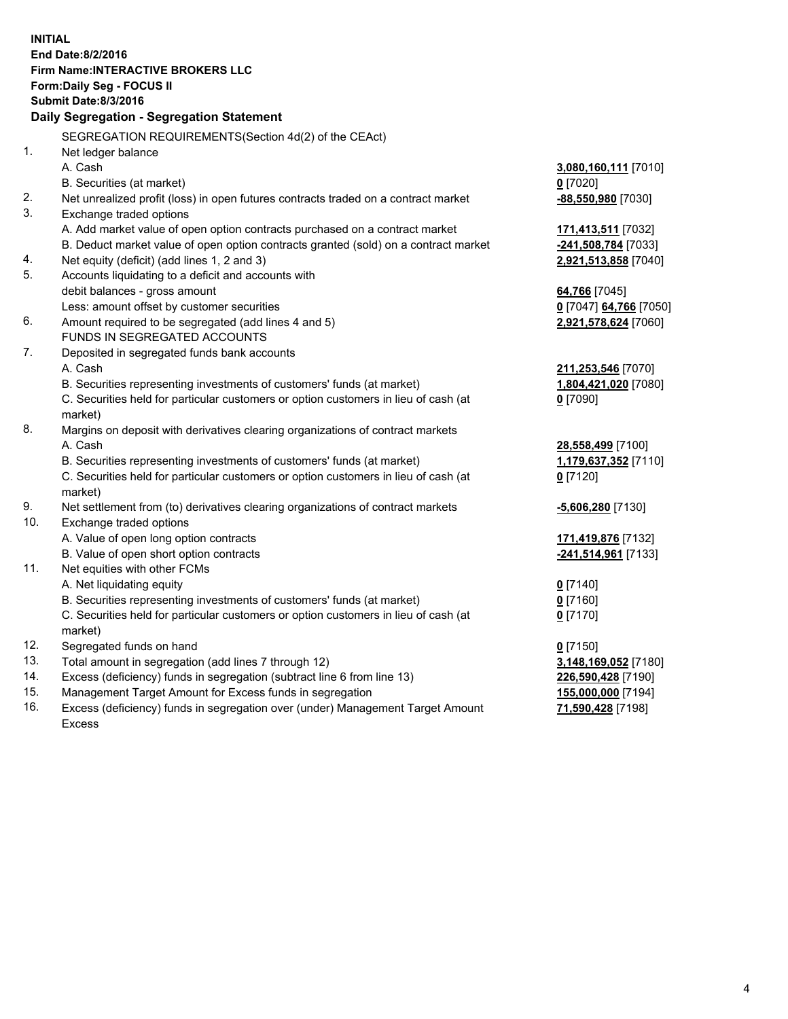**INITIAL End Date:8/2/2016 Firm Name:INTERACTIVE BROKERS LLC Form:Daily Seg - FOCUS II Submit Date:8/3/2016 Daily Segregation - Segregation Statement** SEGREGATION REQUIREMENTS(Section 4d(2) of the CEAct) 1. Net ledger balance A. Cash **3,080,160,111** [7010] B. Securities (at market) **0** [7020] 2. Net unrealized profit (loss) in open futures contracts traded on a contract market **-88,550,980** [7030] 3. Exchange traded options A. Add market value of open option contracts purchased on a contract market **171,413,511** [7032] B. Deduct market value of open option contracts granted (sold) on a contract market **-241,508,784** [7033] 4. Net equity (deficit) (add lines 1, 2 and 3) **2,921,513,858** [7040] 5. Accounts liquidating to a deficit and accounts with debit balances - gross amount **64,766** [7045] Less: amount offset by customer securities **0** [7047] **64,766** [7050] 6. Amount required to be segregated (add lines 4 and 5) **2,921,578,624** [7060] FUNDS IN SEGREGATED ACCOUNTS 7. Deposited in segregated funds bank accounts A. Cash **211,253,546** [7070] B. Securities representing investments of customers' funds (at market) **1,804,421,020** [7080] C. Securities held for particular customers or option customers in lieu of cash (at market) **0** [7090] 8. Margins on deposit with derivatives clearing organizations of contract markets A. Cash **28,558,499** [7100] B. Securities representing investments of customers' funds (at market) **1,179,637,352** [7110] C. Securities held for particular customers or option customers in lieu of cash (at market) **0** [7120] 9. Net settlement from (to) derivatives clearing organizations of contract markets **-5,606,280** [7130] 10. Exchange traded options A. Value of open long option contracts **171,419,876** [7132] B. Value of open short option contracts **-241,514,961** [7133] 11. Net equities with other FCMs A. Net liquidating equity **0** [7140] B. Securities representing investments of customers' funds (at market) **0** [7160] C. Securities held for particular customers or option customers in lieu of cash (at market) **0** [7170] 12. Segregated funds on hand **0** [7150] 13. Total amount in segregation (add lines 7 through 12) **3,148,169,052** [7180] 14. Excess (deficiency) funds in segregation (subtract line 6 from line 13) **226,590,428** [7190] 15. Management Target Amount for Excess funds in segregation **155,000,000** [7194] 16. Excess (deficiency) funds in segregation over (under) Management Target Amount **71,590,428** [7198]

Excess